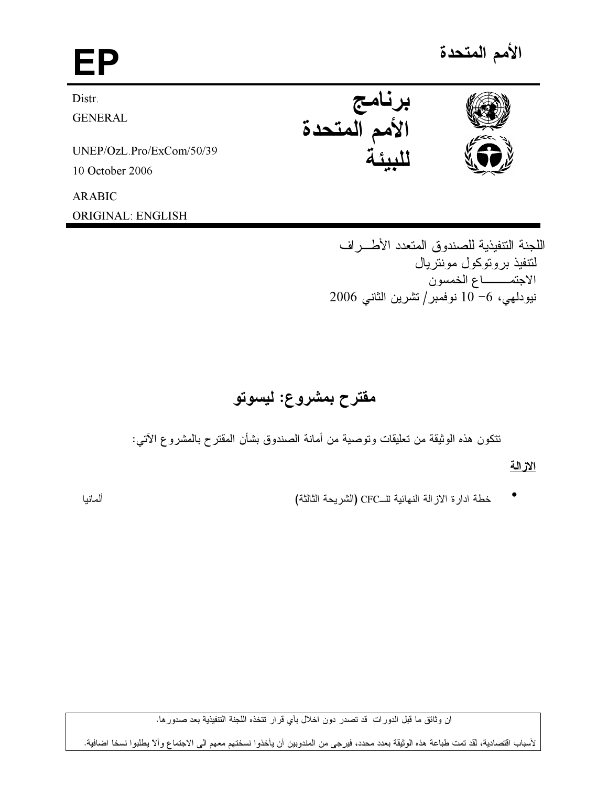# EP برنامج<br>الأمم المتحدة Distr. **GENERAL** UNEP/OzL.Pro/ExCom/50/39 10 October 2006 **ARABIC ORIGINAL: ENGLISH**

اللجنة التنفيذية للصندوق المتعدد الأطـــر اف لتتفيذ بروتوكول مونتريال الاجتمـــــاع الخمسون نيودلهي، 6−10 نوفمبر/تشرين الثاني 2006

# مقترح بمشروع: ليسوتو

تتكون هذه الوثيقة من تعليقات وتوصية من أمانة الصندوق بشأن المقترح بالمشروع الآتي:

## الازالة

خطة ادارة الاز الة النهائية للــCFC (الشريحة الثالثة)

ألمانيا

ان وثائق ما قبل الدورات قد تصدر دون اخلال بأي قرار تتخذه اللجنة التتفيذية بعد صدورها.

لأسباب اقتصادية، لقد تمت طباعة هذه الوثيقة بعدد محدد، فيرجى من المندوبين أن يأخذوا نسختهم معهم الى الاجتماع وألا يطلبوا نسخا اضافية.



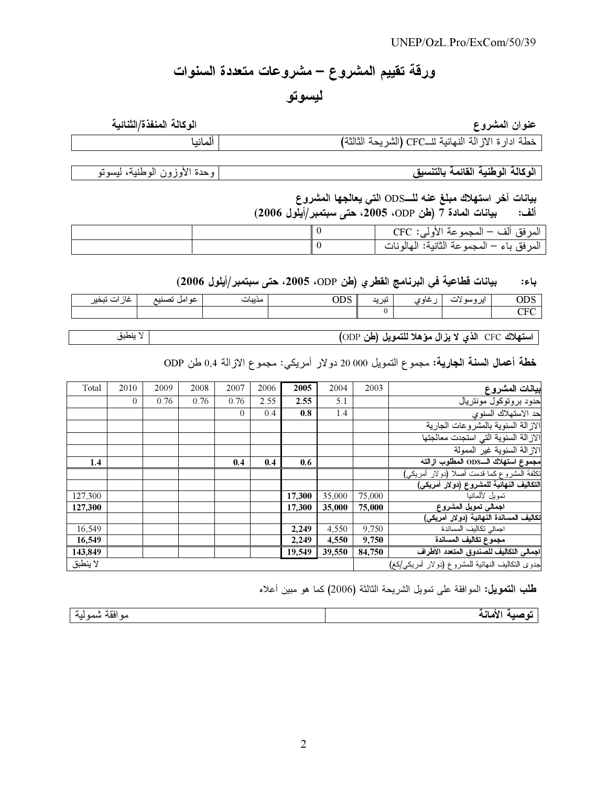# ورقة تقييم المشروع – مشروعات متعددة السنوات

ليسوتو

| الوكالة المنفذة/الثنائية | عنوان المشروع                                          |
|--------------------------|--------------------------------------------------------|
| المانيا                  | خطة ادار ة الاز الة النهائية للــCFC (الشريحة الثالثة) |

الوكالة الوطنية القائمة بالتنسيق

وحدة الأوزون الوطنية، ليسوتو

بيانات آخر استهلاك مبلغ عنه للــODS التي يعالجها المشروع ألف: بيانات المادة 7 (طن ODP، 2005، حتى سبتمبر/أيلول 2006)

|  | المرفق ألف – المجموعة الأولى: CFC         |
|--|-------------------------------------------|
|  | المرفق باء – المجموعة الثانية: المهالونات |

#### بيانات قطاعية في البرنامج القطري (طن ODP، 2005، حتى سبتمبر/أيلول 2006) باء:

|                                                     |                 | ___    |                 |            | _<br>. . |                |                       |
|-----------------------------------------------------|-----------------|--------|-----------------|------------|----------|----------------|-----------------------|
| $\cdot$ .<br>$\cdot$ $\cdot$<br>- 11<br>نىچى<br>عاد | عو امل<br>تصبيب | مديبات | $\Omega$<br>ບມະ | نب بد<br>┄ | عاه ہ    | اير و،<br>0.11 | UDJ                   |
|                                                     |                 |        |                 |            |          |                | C <sub>FT</sub><br>◡ェ |
|                                                     |                 |        |                 |            |          |                |                       |

استهلاك CFC الذي لا يزال مؤهلا للتمويل (طن ODP)

لا ينطبق

خطة أعمال السنة الجارية: مجموع التمويل 000 00 دولار أمريكي: مجموع الازالة 0,4 طن ODP

| Total    | 2010     | 2009 | 2008 | 2007     | 2006 | 2005   | 2004   | 2003                                             | بيانات المشروع                             |
|----------|----------|------|------|----------|------|--------|--------|--------------------------------------------------|--------------------------------------------|
|          | $\Omega$ | 0.76 | 0.76 | 0.76     | 2.55 | 2.55   | 5.1    |                                                  | حدود بروتوكول مونتريال                     |
|          |          |      |      | $\theta$ | 0.4  | 0.8    | 1.4    |                                                  | حد الاستهلاك السنوى                        |
|          |          |      |      |          |      |        |        |                                                  | الاز الة السنوية بالمشر وعات الجارية       |
|          |          |      |      |          |      |        |        |                                                  | الازالة السنوية التى استجدت معالجتها       |
|          |          |      |      |          |      |        |        |                                                  | الاز الـة السنوية غير الممولة              |
| 1.4      |          |      |      | 0.4      | 0.4  | 0.6    |        |                                                  | مجموع استهلاك الـODS المطلوب ازالته        |
|          |          |      |      |          |      |        |        |                                                  | نكلفة المشروع كما فدمت أصلا (دولار أمريكي) |
|          |          |      |      |          |      |        |        |                                                  | التكاليف النهآئية للمشروع (دولار أمريكي)   |
| 127,300  |          |      |      |          |      | 17,300 | 35,000 | 75,000                                           | تمويل لألمانيا                             |
| 127,300  |          |      |      |          |      | 17.300 | 35,000 | 75,000                                           | اجمالى تمويل المشروع                       |
|          |          |      |      |          |      |        |        |                                                  | تكاليف المساندة النهائية (دولار أمريكى)    |
| 16,549   |          |      |      |          |      | 2,249  | 4,550  | 9,750                                            | اجمالى نكاليف المساندة                     |
| 16,549   |          |      |      |          |      | 2,249  | 4,550  | 9,750                                            | مجموع تكاليف المساندة                      |
| 143,849  |          |      |      |          |      | 19,549 | 39,550 | 84,750                                           | اجمالى التكاليف للصندوق المتعدد الأطراف    |
| لا ينطبق |          |      |      |          |      |        |        | جدوى النكاليف النهائية للمشروع (دولار أمريكي/كغ) |                                            |

طلب التعويل: الموافقة على تمويل الشريحة الثالثة (2006) كما هو مبين أعلاه

| $\sim$<br>ه مو خو<br>مو افقه شمو لبه<br>. | $^{\tiny{**}}$<br>$\ddot{\phantom{1}}$<br>مادية<br>. .<br>$- - - -$ |
|-------------------------------------------|---------------------------------------------------------------------|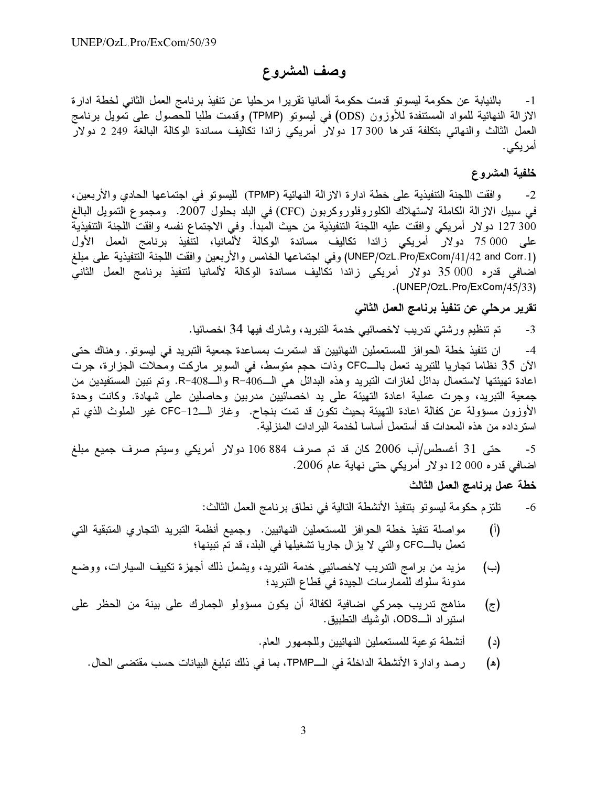## وصف المشروع

بالنيابة عن حكومة ليسونو قدمت حكومة ألمانيا تقريرا مرحليا عن تنفيذ برنامج العمل الثاني لخطة ادارة  $-1$ الازالة النهائية للمواد المستنفدة للأوزون (ODS) في ليسونو (TPMP) وقدمت طلبا للحصول على تمويل برنامج العمل الثالث والنهائي بتكلفة قدرها 300 17 دولار أمريكي زائدا تكاليف مساندة الوكالة البالغة 249 2 دولار أمريكى.

#### خلفية المشروع

وافقت اللجنة التنفيذية على خطة ادارة الازالة النهائية (TPMP) لليسوتو في اجتماعها الحادي والأربعين،  $-2$ في سبيل الازالة الكاملة لاستهلاك الكلوروفلوروكربون (CFC) في البلد بـحلول 2007. ومـجموع التمويل البالغ 300 127 دولار أمريكي وافقت عليه اللجنة التنفيذية من حيث المبدأ. وفي الاجتماع نفسه وافقت اللجنة التنفيذية على 75 000 دولار أمريكي زائدا تكاليف مساندة الوكالة لألمانيا، لتنفيذ برنامج العمل الأول (UNEP/OzL.Pro/ExCom/41/42 and Corr.1) وفي اجتماعها الخامس والأربعين وافقت اللجنة التنفيذية على مبلغ اضافي قدره 000 35 دولار أمريكي زائدا تكاليف مساندة الوكالة لألمانيا لتنفيذ برنامج العمل الثاني .(UNEP/OzL.Pro/ExCom/45/33)

### تقرير مرحلي عن تنفيذ برنامج العمل الثاني

تم تنظيم ورشتي تدريب لاخصائيي خدمة التبريد، وشارك فيها 34 اخصائيا.  $-3$ 

ان تنفيذ خطة الحوافز للمستعملين النهائيين قد استمرت بمساعدة جمعية التبريد في ليسوتو. وهناك حتى  $-4$ الآن 35 نظاما تجاريا للتبريد تعمل بالــCFC وذات حجم متوسط، في السوبر ماركت ومحلات الجزارة، جرت اعادة تهيئتها لاستعمال بدائل لغازات التبريد وهذه البدائل هي الــ406-R والــ408-R. وتم تبين المستفيدين من جمعية التبريد، وجرت عملية اعادة التهيئة على يد اخصائيين مدربين وحاصلين على شهادة. وكانت وحدة الأوزون مسؤولة عن كفالة اعادة التهيئة بحيث تكون قد تمت بنجاح. وغاز الــ12–CFC غير الملوث الذي تم استر داده من هذه المعدات قد أستعمل أساسا لخدمة البر ادات المنز لية.

حتى 31 أغسطس/آب 2006 كان قد تم صرف 884 106 دولار أمريكي وسيتم صرف جميع مبلغ  $-5$ اضافي قدره 000 12 دولار أمريكي حتى نهاية عام 2006.

#### خطة عمل برنامج العمل الثالث

تلتزم حكومة ليسوتو بتنفيذ الأنشطة التالية في نطاق برنامج العمل الثالث: -6

- مواصلة تنفيذ خطة الحوافز للمستعملين النهائيين. وجميع أنظمة التبريد التجاري المتبقية التي  $\binom{1}{k}$ تعمل بالــCFC والتي لا يزال جاريا تشغيلها في البلد، قد تم تبينها؛
- مزيد من برامج التدريب لاخصائيي خدمة التبريد، ويشمل ذلك أجهزة تكييف السيارات، ووضع  $(\rightarrow)$ مدونة سلوك للممارسات الجيدة في قطاع التبريد؛
- مناهج تدريب جمركي اضافية لكفالة أن يكون مسؤولو الجمارك على بينة من الحظر على  $(\bar{z})$ استير اد الـــODS، الوشيك التطبيق.
	- أنشطة نوعية للمستعملين النهائيين وللجمهور العام.  $(\iota)$
	- رصد وادارة الأنشطة الداخلة في الــTPMP، بما في ذلك تبليغ البيانات حسب مقتضىي الحال. (ه)